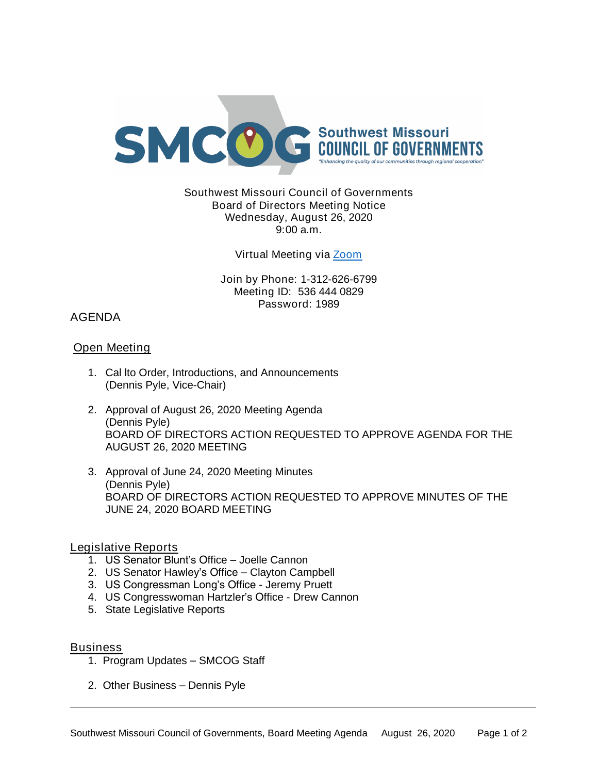

## Southwest Missouri Council of Governments Board of Directors Meeting Notice Wednesday, August 26, 2020 9:00 a.m.

### Virtual Meeting via [Zoom](https://missouristate.zoom.us/j/5364440829?pwd=MlUzbmJKSXllVENpRndadjlEMThmZz09)

Join by Phone: 1-312-626-6799 Meeting ID: 536 444 0829 Password: 1989

# AGENDA

# Open Meeting

- 1. Cal lto Order, Introductions, and Announcements (Dennis Pyle, Vice-Chair)
- 2. Approval of August 26, 2020 Meeting Agenda (Dennis Pyle) BOARD OF DIRECTORS ACTION REQUESTED TO APPROVE AGENDA FOR THE AUGUST 26, 2020 MEETING
- 3. Approval of June 24, 2020 Meeting Minutes (Dennis Pyle) BOARD OF DIRECTORS ACTION REQUESTED TO APPROVE MINUTES OF THE JUNE 24, 2020 BOARD MEETING

## Legislative Reports

- 1. US Senator Blunt's Office Joelle Cannon
- 2. US Senator Hawley's Office Clayton Campbell
- 3. US Congressman Long's Office Jeremy Pruett
- 4. US Congresswoman Hartzler's Office Drew Cannon
- 5. State Legislative Reports

#### **Business**

- 1. Program Updates SMCOG Staff
- 2. Other Business Dennis Pyle